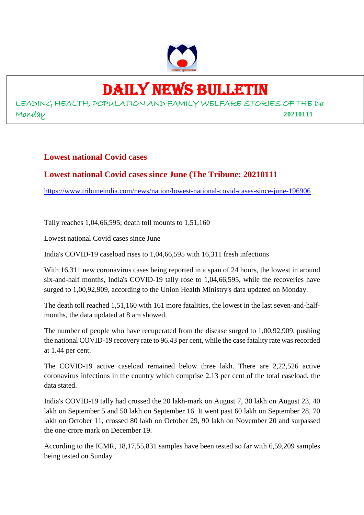

# DAILY NEWS BULLETIN

LEADING HEALTH, POPULATION AND FAMILY WELFARE STORIES OF THE Da Monday **20210111**

## **Lowest national Covid cases**

## **Lowest national Covid cases since June (The Tribune: 20210111**

https://www.tribuneindia.com/news/nation/lowest-national-covid-cases-since-june-196906

Tally reaches 1,04,66,595; death toll mounts to 1,51,160

Lowest national Covid cases since June

India's COVID-19 caseload rises to 1,04,66,595 with 16,311 fresh infections

With 16,311 new coronavirus cases being reported in a span of 24 hours, the lowest in around six-and-half months, India's COVID-19 tally rose to 1,04,66,595, while the recoveries have surged to 1,00,92,909, according to the Union Health Ministry's data updated on Monday.

The death toll reached 1,51,160 with 161 more fatalities, the lowest in the last seven-and-halfmonths, the data updated at 8 am showed.

The number of people who have recuperated from the disease surged to 1,00,92,909, pushing the national COVID-19 recovery rate to 96.43 per cent, while the case fatality rate was recorded at 1.44 per cent.

The COVID-19 active caseload remained below three lakh. There are 2,22,526 active coronavirus infections in the country which comprise 2.13 per cent of the total caseload, the data stated.

India's COVID-19 tally had crossed the 20 lakh-mark on August 7, 30 lakh on August 23, 40 lakh on September 5 and 50 lakh on September 16. It went past 60 lakh on September 28, 70 lakh on October 11, crossed 80 lakh on October 29, 90 lakh on November 20 and surpassed the one-crore mark on December 19.

According to the ICMR, 18,17,55,831 samples have been tested so far with 6,59,209 samples being tested on Sunday.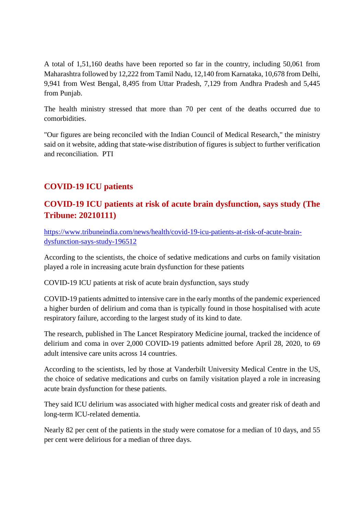A total of 1,51,160 deaths have been reported so far in the country, including 50,061 from Maharashtra followed by 12,222 from Tamil Nadu, 12,140 from Karnataka, 10,678 from Delhi, 9,941 from West Bengal, 8,495 from Uttar Pradesh, 7,129 from Andhra Pradesh and 5,445 from Punjab.

The health ministry stressed that more than 70 per cent of the deaths occurred due to comorbidities.

"Our figures are being reconciled with the Indian Council of Medical Research," the ministry said on it website, adding that state-wise distribution of figures is subject to further verification and reconciliation. PTI

# **COVID-19 ICU patients**

## **COVID-19 ICU patients at risk of acute brain dysfunction, says study (The Tribune: 20210111)**

https://www.tribuneindia.com/news/health/covid-19-icu-patients-at-risk-of-acute-braindysfunction-says-study-196512

According to the scientists, the choice of sedative medications and curbs on family visitation played a role in increasing acute brain dysfunction for these patients

COVID-19 ICU patients at risk of acute brain dysfunction, says study

COVID-19 patients admitted to intensive care in the early months of the pandemic experienced a higher burden of delirium and coma than is typically found in those hospitalised with acute respiratory failure, according to the largest study of its kind to date.

The research, published in The Lancet Respiratory Medicine journal, tracked the incidence of delirium and coma in over 2,000 COVID-19 patients admitted before April 28, 2020, to 69 adult intensive care units across 14 countries.

According to the scientists, led by those at Vanderbilt University Medical Centre in the US, the choice of sedative medications and curbs on family visitation played a role in increasing acute brain dysfunction for these patients.

They said ICU delirium was associated with higher medical costs and greater risk of death and long-term ICU-related dementia.

Nearly 82 per cent of the patients in the study were comatose for a median of 10 days, and 55 per cent were delirious for a median of three days.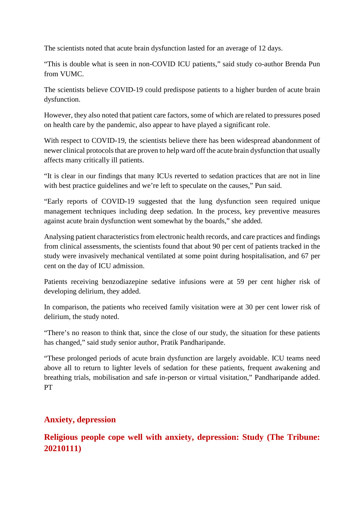The scientists noted that acute brain dysfunction lasted for an average of 12 days.

"This is double what is seen in non-COVID ICU patients," said study co-author Brenda Pun from VUMC.

The scientists believe COVID-19 could predispose patients to a higher burden of acute brain dysfunction.

However, they also noted that patient care factors, some of which are related to pressures posed on health care by the pandemic, also appear to have played a significant role.

With respect to COVID-19, the scientists believe there has been widespread abandonment of newer clinical protocols that are proven to help ward off the acute brain dysfunction that usually affects many critically ill patients.

"It is clear in our findings that many ICUs reverted to sedation practices that are not in line with best practice guidelines and we're left to speculate on the causes," Pun said.

"Early reports of COVID-19 suggested that the lung dysfunction seen required unique management techniques including deep sedation. In the process, key preventive measures against acute brain dysfunction went somewhat by the boards," she added.

Analysing patient characteristics from electronic health records, and care practices and findings from clinical assessments, the scientists found that about 90 per cent of patients tracked in the study were invasively mechanical ventilated at some point during hospitalisation, and 67 per cent on the day of ICU admission.

Patients receiving benzodiazepine sedative infusions were at 59 per cent higher risk of developing delirium, they added.

In comparison, the patients who received family visitation were at 30 per cent lower risk of delirium, the study noted.

"There's no reason to think that, since the close of our study, the situation for these patients has changed," said study senior author, Pratik Pandharipande.

"These prolonged periods of acute brain dysfunction are largely avoidable. ICU teams need above all to return to lighter levels of sedation for these patients, frequent awakening and breathing trials, mobilisation and safe in-person or virtual visitation," Pandharipande added. **PT** 

## **Anxiety, depression**

# **Religious people cope well with anxiety, depression: Study (The Tribune: 20210111)**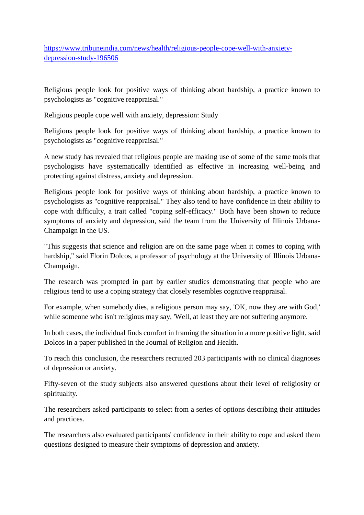https://www.tribuneindia.com/news/health/religious-people-cope-well-with-anxietydepression-study-196506

Religious people look for positive ways of thinking about hardship, a practice known to psychologists as "cognitive reappraisal."

Religious people cope well with anxiety, depression: Study

Religious people look for positive ways of thinking about hardship, a practice known to psychologists as "cognitive reappraisal."

A new study has revealed that religious people are making use of some of the same tools that psychologists have systematically identified as effective in increasing well-being and protecting against distress, anxiety and depression.

Religious people look for positive ways of thinking about hardship, a practice known to psychologists as "cognitive reappraisal." They also tend to have confidence in their ability to cope with difficulty, a trait called "coping self-efficacy." Both have been shown to reduce symptoms of anxiety and depression, said the team from the University of Illinois Urbana-Champaign in the US.

"This suggests that science and religion are on the same page when it comes to coping with hardship," said Florin Dolcos, a professor of psychology at the University of Illinois Urbana-Champaign.

The research was prompted in part by earlier studies demonstrating that people who are religious tend to use a coping strategy that closely resembles cognitive reappraisal.

For example, when somebody dies, a religious person may say, 'OK, now they are with God,' while someone who isn't religious may say, 'Well, at least they are not suffering anymore.

In both cases, the individual finds comfort in framing the situation in a more positive light, said Dolcos in a paper published in the Journal of Religion and Health.

To reach this conclusion, the researchers recruited 203 participants with no clinical diagnoses of depression or anxiety.

Fifty-seven of the study subjects also answered questions about their level of religiosity or spirituality.

The researchers asked participants to select from a series of options describing their attitudes and practices.

The researchers also evaluated participants' confidence in their ability to cope and asked them questions designed to measure their symptoms of depression and anxiety.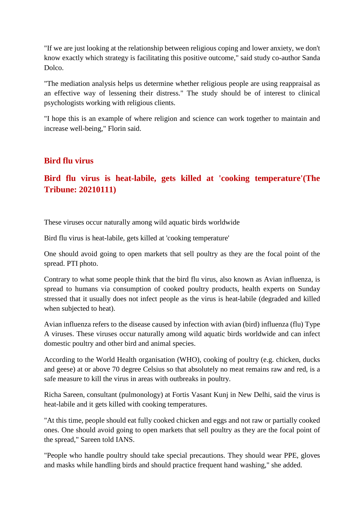"If we are just looking at the relationship between religious coping and lower anxiety, we don't know exactly which strategy is facilitating this positive outcome," said study co-author Sanda Dolco.

"The mediation analysis helps us determine whether religious people are using reappraisal as an effective way of lessening their distress." The study should be of interest to clinical psychologists working with religious clients.

"I hope this is an example of where religion and science can work together to maintain and increase well-being," Florin said.

#### **Bird flu virus**

## **Bird flu virus is heat-labile, gets killed at 'cooking temperature'(The Tribune: 20210111)**

These viruses occur naturally among wild aquatic birds worldwide

Bird flu virus is heat-labile, gets killed at 'cooking temperature'

One should avoid going to open markets that sell poultry as they are the focal point of the spread. PTI photo.

Contrary to what some people think that the bird flu virus, also known as Avian influenza, is spread to humans via consumption of cooked poultry products, health experts on Sunday stressed that it usually does not infect people as the virus is heat-labile (degraded and killed when subjected to heat).

Avian influenza refers to the disease caused by infection with avian (bird) influenza (flu) Type A viruses. These viruses occur naturally among wild aquatic birds worldwide and can infect domestic poultry and other bird and animal species.

According to the World Health organisation (WHO), cooking of poultry (e.g. chicken, ducks and geese) at or above 70 degree Celsius so that absolutely no meat remains raw and red, is a safe measure to kill the virus in areas with outbreaks in poultry.

Richa Sareen, consultant (pulmonology) at Fortis Vasant Kunj in New Delhi, said the virus is heat-labile and it gets killed with cooking temperatures.

"At this time, people should eat fully cooked chicken and eggs and not raw or partially cooked ones. One should avoid going to open markets that sell poultry as they are the focal point of the spread," Sareen told IANS.

"People who handle poultry should take special precautions. They should wear PPE, gloves and masks while handling birds and should practice frequent hand washing," she added.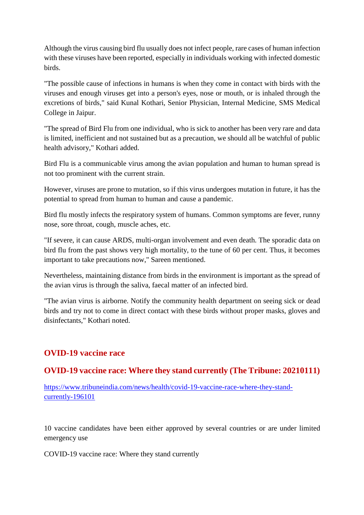Although the virus causing bird flu usually does not infect people, rare cases of human infection with these viruses have been reported, especially in individuals working with infected domestic birds.

"The possible cause of infections in humans is when they come in contact with birds with the viruses and enough viruses get into a person's eyes, nose or mouth, or is inhaled through the excretions of birds," said Kunal Kothari, Senior Physician, Internal Medicine, SMS Medical College in Jaipur.

"The spread of Bird Flu from one individual, who is sick to another has been very rare and data is limited, inefficient and not sustained but as a precaution, we should all be watchful of public health advisory," Kothari added.

Bird Flu is a communicable virus among the avian population and human to human spread is not too prominent with the current strain.

However, viruses are prone to mutation, so if this virus undergoes mutation in future, it has the potential to spread from human to human and cause a pandemic.

Bird flu mostly infects the respiratory system of humans. Common symptoms are fever, runny nose, sore throat, cough, muscle aches, etc.

"If severe, it can cause ARDS, multi-organ involvement and even death. The sporadic data on bird flu from the past shows very high mortality, to the tune of 60 per cent. Thus, it becomes important to take precautions now," Sareen mentioned.

Nevertheless, maintaining distance from birds in the environment is important as the spread of the avian virus is through the saliva, faecal matter of an infected bird.

"The avian virus is airborne. Notify the community health department on seeing sick or dead birds and try not to come in direct contact with these birds without proper masks, gloves and disinfectants," Kothari noted.

## **OVID-19 vaccine race**

## **OVID-19 vaccine race: Where they stand currently (The Tribune: 20210111)**

https://www.tribuneindia.com/news/health/covid-19-vaccine-race-where-they-standcurrently-196101

10 vaccine candidates have been either approved by several countries or are under limited emergency use

COVID-19 vaccine race: Where they stand currently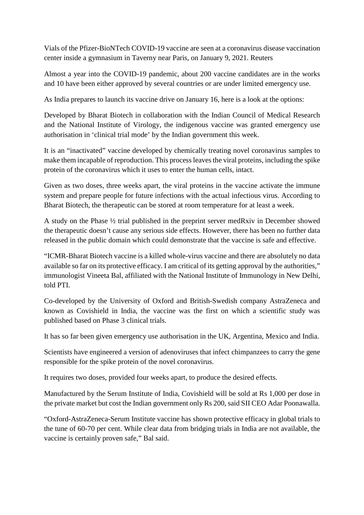Vials of the Pfizer-BioNTech COVID-19 vaccine are seen at a coronavirus disease vaccination center inside a gymnasium in Taverny near Paris, on January 9, 2021. Reuters

Almost a year into the COVID-19 pandemic, about 200 vaccine candidates are in the works and 10 have been either approved by several countries or are under limited emergency use.

As India prepares to launch its vaccine drive on January 16, here is a look at the options:

Developed by Bharat Biotech in collaboration with the Indian Council of Medical Research and the National Institute of Virology, the indigenous vaccine was granted emergency use authorisation in 'clinical trial mode' by the Indian government this week.

It is an "inactivated" vaccine developed by chemically treating novel coronavirus samples to make them incapable of reproduction. This process leaves the viral proteins, including the spike protein of the coronavirus which it uses to enter the human cells, intact.

Given as two doses, three weeks apart, the viral proteins in the vaccine activate the immune system and prepare people for future infections with the actual infectious virus. According to Bharat Biotech, the therapeutic can be stored at room temperature for at least a week.

A study on the Phase ½ trial published in the preprint server medRxiv in December showed the therapeutic doesn't cause any serious side effects. However, there has been no further data released in the public domain which could demonstrate that the vaccine is safe and effective.

"ICMR-Bharat Biotech vaccine is a killed whole-virus vaccine and there are absolutely no data available so far on its protective efficacy. I am critical of its getting approval by the authorities," immunologist Vineeta Bal, affiliated with the National Institute of Immunology in New Delhi, told PTI.

Co-developed by the University of Oxford and British-Swedish company AstraZeneca and known as Covishield in India, the vaccine was the first on which a scientific study was published based on Phase 3 clinical trials.

It has so far been given emergency use authorisation in the UK, Argentina, Mexico and India.

Scientists have engineered a version of adenoviruses that infect chimpanzees to carry the gene responsible for the spike protein of the novel coronavirus.

It requires two doses, provided four weeks apart, to produce the desired effects.

Manufactured by the Serum Institute of India, Covishield will be sold at Rs 1,000 per dose in the private market but cost the Indian government only Rs 200, said SII CEO Adar Poonawalla.

"Oxford-AstraZeneca-Serum Institute vaccine has shown protective efficacy in global trials to the tune of 60-70 per cent. While clear data from bridging trials in India are not available, the vaccine is certainly proven safe," Bal said.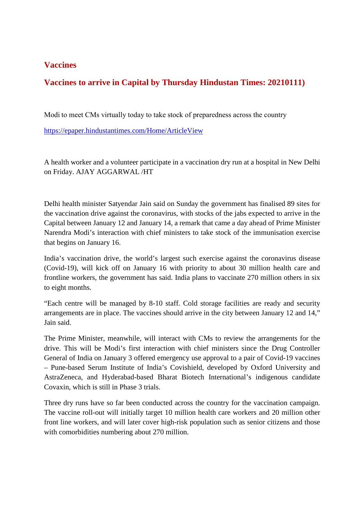## **Vaccines**

## **Vaccines to arrive in Capital by Thursday Hindustan Times: 20210111)**

Modi to meet CMs virtually today to take stock of preparedness across the country

https://epaper.hindustantimes.com/Home/ArticleView

A health worker and a volunteer participate in a vaccination dry run at a hospital in New Delhi on Friday. AJAY AGGARWAL /HT

Delhi health minister Satyendar Jain said on Sunday the government has finalised 89 sites for the vaccination drive against the coronavirus, with stocks of the jabs expected to arrive in the Capital between January 12 and January 14, a remark that came a day ahead of Prime Minister Narendra Modi's interaction with chief ministers to take stock of the immunisation exercise that begins on January 16.

India's vaccination drive, the world's largest such exercise against the coronavirus disease (Covid-19), will kick off on January 16 with priority to about 30 million health care and frontline workers, the government has said. India plans to vaccinate 270 million others in six to eight months.

"Each centre will be managed by 8-10 staff. Cold storage facilities are ready and security arrangements are in place. The vaccines should arrive in the city between January 12 and 14," Jain said.

The Prime Minister, meanwhile, will interact with CMs to review the arrangements for the drive. This will be Modi's first interaction with chief ministers since the Drug Controller General of India on January 3 offered emergency use approval to a pair of Covid-19 vaccines – Pune-based Serum Institute of India's Covishield, developed by Oxford University and AstraZeneca, and Hyderabad-based Bharat Biotech International's indigenous candidate Covaxin, which is still in Phase 3 trials.

Three dry runs have so far been conducted across the country for the vaccination campaign. The vaccine roll-out will initially target 10 million health care workers and 20 million other front line workers, and will later cover high-risk population such as senior citizens and those with comorbidities numbering about 270 million.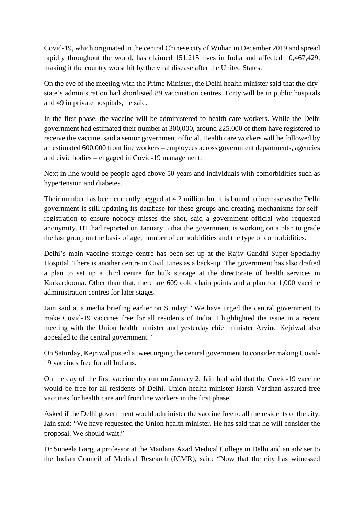Covid-19, which originated in the central Chinese city of Wuhan in December 2019 and spread rapidly throughout the world, has claimed 151,215 lives in India and affected 10,467,429, making it the country worst hit by the viral disease after the United States.

On the eve of the meeting with the Prime Minister, the Delhi health minister said that the citystate's administration had shortlisted 89 vaccination centres. Forty will be in public hospitals and 49 in private hospitals, he said.

In the first phase, the vaccine will be administered to health care workers. While the Delhi government had estimated their number at 300,000, around 225,000 of them have registered to receive the vaccine, said a senior government official. Health care workers will be followed by an estimated 600,000 front line workers – employees across government departments, agencies and civic bodies – engaged in Covid-19 management.

Next in line would be people aged above 50 years and individuals with comorbidities such as hypertension and diabetes.

Their number has been currently pegged at 4.2 million but it is bound to increase as the Delhi government is still updating its database for these groups and creating mechanisms for selfregistration to ensure nobody misses the shot, said a government official who requested anonymity. HT had reported on January 5 that the government is working on a plan to grade the last group on the basis of age, number of comorbidities and the type of comorbidities.

Delhi's main vaccine storage centre has been set up at the Rajiv Gandhi Super-Speciality Hospital. There is another centre in Civil Lines as a back-up. The government has also drafted a plan to set up a third centre for bulk storage at the directorate of health services in Karkardooma. Other than that, there are 609 cold chain points and a plan for 1,000 vaccine administration centres for later stages.

Jain said at a media briefing earlier on Sunday: "We have urged the central government to make Covid-19 vaccines free for all residents of India. I highlighted the issue in a recent meeting with the Union health minister and yesterday chief minister Arvind Kejriwal also appealed to the central government."

On Saturday, Kejriwal posted a tweet urging the central government to consider making Covid-19 vaccines free for all Indians.

On the day of the first vaccine dry run on January 2, Jain had said that the Covid-19 vaccine would be free for all residents of Delhi. Union health minister Harsh Vardhan assured free vaccines for health care and frontline workers in the first phase.

Asked if the Delhi government would administer the vaccine free to all the residents of the city, Jain said: "We have requested the Union health minister. He has said that he will consider the proposal. We should wait."

Dr Suneela Garg, a professor at the Maulana Azad Medical College in Delhi and an adviser to the Indian Council of Medical Research (ICMR), said: "Now that the city has witnessed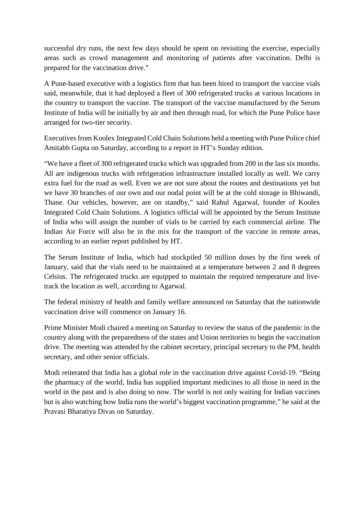successful dry runs, the next few days should be spent on revisiting the exercise, especially areas such as crowd management and monitoring of patients after vaccination. Delhi is prepared for the vaccination drive."

A Pune-based executive with a logistics firm that has been hired to transport the vaccine vials said, meanwhile, that it had deployed a fleet of 300 refrigerated trucks at various locations in the country to transport the vaccine. The transport of the vaccine manufactured by the Serum Institute of India will be initially by air and then through road, for which the Pune Police have arranged for two-tier security.

Executives from Koolex Integrated Cold Chain Solutions held a meeting with Pune Police chief Amitabh Gupta on Saturday, according to a report in HT's Sunday edition.

"We have a fleet of 300 refrigerated trucks which was upgraded from 200 in the last six months. All are indigenous trucks with refrigeration infrastructure installed locally as well. We carry extra fuel for the road as well. Even we are not sure about the routes and destinations yet but we have 30 branches of our own and our nodal point will be at the cold storage in Bhiwandi, Thane. Our vehicles, however, are on standby," said Rahul Agarwal, founder of Koolex Integrated Cold Chain Solutions. A logistics official will be appointed by the Serum Institute of India who will assign the number of vials to be carried by each commercial airline. The Indian Air Force will also be in the mix for the transport of the vaccine in remote areas, according to an earlier report published by HT.

The Serum Institute of India, which had stockpiled 50 million doses by the first week of January, said that the vials need to be maintained at a temperature between 2 and 8 degrees Celsius. The refrigerated trucks are equipped to maintain the required temperature and livetrack the location as well, according to Agarwal.

The federal ministry of health and family welfare announced on Saturday that the nationwide vaccination drive will commence on January 16.

Prime Minister Modi chaired a meeting on Saturday to review the status of the pandemic in the country along with the preparedness of the states and Union territories to begin the vaccination drive. The meeting was attended by the cabinet secretary, principal secretary to the PM, health secretary, and other senior officials.

Modi reiterated that India has a global role in the vaccination drive against Covid-19. "Being the pharmacy of the world, India has supplied important medicines to all those in need in the world in the past and is also doing so now. The world is not only waiting for Indian vaccines but is also watching how India runs the world's biggest vaccination programme," he said at the Pravasi Bharatiya Divas on Saturday.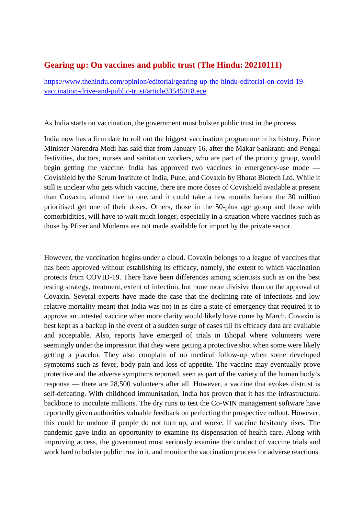#### **Gearing up: On vaccines and public trust (The Hindu: 20210111)**

https://www.thehindu.com/opinion/editorial/gearing-up-the-hindu-editorial-on-covid-19 vaccination-drive-and-public-trust/article33545018.ece

As India starts on vaccination, the government must bolster public trust in the process

India now has a firm date to roll out the biggest vaccination programme in its history. Prime Minister Narendra Modi has said that from January 16, after the Makar Sankranti and Pongal festivities, doctors, nurses and sanitation workers, who are part of the priority group, would begin getting the vaccine. India has approved two vaccines in emergency-use mode — Covishield by the Serum Institute of India, Pune, and Covaxin by Bharat Biotech Ltd. While it still is unclear who gets which vaccine, there are more doses of Covishield available at present than Covaxin, almost five to one, and it could take a few months before the 30 million prioritised get one of their doses. Others, those in the 50-plus age group and those with comorbidities, will have to wait much longer, especially in a situation where vaccines such as those by Pfizer and Moderna are not made available for import by the private sector.

However, the vaccination begins under a cloud. Covaxin belongs to a league of vaccines that has been approved without establishing its efficacy, namely, the extent to which vaccination protects from COVID-19. There have been differences among scientists such as on the best testing strategy, treatment, extent of infection, but none more divisive than on the approval of Covaxin. Several experts have made the case that the declining rate of infections and low relative mortality meant that India was not in as dire a state of emergency that required it to approve an untested vaccine when more clarity would likely have come by March. Covaxin is best kept as a backup in the event of a sudden surge of cases till its efficacy data are available and acceptable. Also, reports have emerged of trials in Bhopal where volunteers were seemingly under the impression that they were getting a protective shot when some were likely getting a placebo. They also complain of no medical follow-up when some developed symptoms such as fever, body pain and loss of appetite. The vaccine may eventually prove protective and the adverse symptoms reported, seen as part of the variety of the human body's response — there are 28,500 volunteers after all. However, a vaccine that evokes distrust is self-defeating. With childhood immunisation, India has proven that it has the infrastructural backbone to inoculate millions. The dry runs to test the Co-WIN management software have reportedly given authorities valuable feedback on perfecting the prospective rollout. However, this could be undone if people do not turn up, and worse, if vaccine hesitancy rises. The pandemic gave India an opportunity to examine its dispensation of health care. Along with improving access, the government must seriously examine the conduct of vaccine trials and work hard to bolster public trust in it, and monitor the vaccination process for adverse reactions.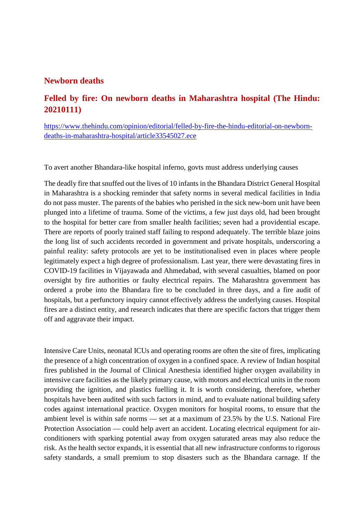#### **Newborn deaths**

## **Felled by fire: On newborn deaths in Maharashtra hospital (The Hindu: 20210111)**

https://www.thehindu.com/opinion/editorial/felled-by-fire-the-hindu-editorial-on-newborndeaths-in-maharashtra-hospital/article33545027.ece

To avert another Bhandara-like hospital inferno, govts must address underlying causes

The deadly fire that snuffed out the lives of 10 infants in the Bhandara District General Hospital in Maharashtra is a shocking reminder that safety norms in several medical facilities in India do not pass muster. The parents of the babies who perished in the sick new-born unit have been plunged into a lifetime of trauma. Some of the victims, a few just days old, had been brought to the hospital for better care from smaller health facilities; seven had a providential escape. There are reports of poorly trained staff failing to respond adequately. The terrible blaze joins the long list of such accidents recorded in government and private hospitals, underscoring a painful reality: safety protocols are yet to be institutionalised even in places where people legitimately expect a high degree of professionalism. Last year, there were devastating fires in COVID-19 facilities in Vijayawada and Ahmedabad, with several casualties, blamed on poor oversight by fire authorities or faulty electrical repairs. The Maharashtra government has ordered a probe into the Bhandara fire to be concluded in three days, and a fire audit of hospitals, but a perfunctory inquiry cannot effectively address the underlying causes. Hospital fires are a distinct entity, and research indicates that there are specific factors that trigger them off and aggravate their impact.

Intensive Care Units, neonatal ICUs and operating rooms are often the site of fires, implicating the presence of a high concentration of oxygen in a confined space. A review of Indian hospital fires published in the Journal of Clinical Anesthesia identified higher oxygen availability in intensive care facilities as the likely primary cause, with motors and electrical units in the room providing the ignition, and plastics fuelling it. It is worth considering, therefore, whether hospitals have been audited with such factors in mind, and to evaluate national building safety codes against international practice. Oxygen monitors for hospital rooms, to ensure that the ambient level is within safe norms — set at a maximum of 23.5% by the U.S. National Fire Protection Association — could help avert an accident. Locating electrical equipment for airconditioners with sparking potential away from oxygen saturated areas may also reduce the risk. As the health sector expands, it is essential that all new infrastructure conforms to rigorous safety standards, a small premium to stop disasters such as the Bhandara carnage. If the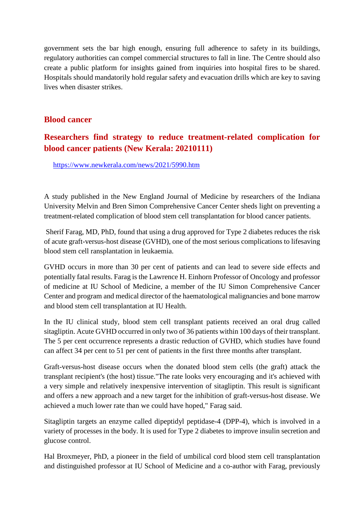government sets the bar high enough, ensuring full adherence to safety in its buildings, regulatory authorities can compel commercial structures to fall in line. The Centre should also create a public platform for insights gained from inquiries into hospital fires to be shared. Hospitals should mandatorily hold regular safety and evacuation drills which are key to saving lives when disaster strikes.

#### **Blood cancer**

## **Researchers find strategy to reduce treatment-related complication for blood cancer patients (New Kerala: 20210111)**

https://www.newkerala.com/news/2021/5990.htm

A study published in the New England Journal of Medicine by researchers of the Indiana University Melvin and Bren Simon Comprehensive Cancer Center sheds light on preventing a treatment-related complication of blood stem cell transplantation for blood cancer patients.

Sherif Farag, MD, PhD, found that using a drug approved for Type 2 diabetes reduces the risk of acute graft-versus-host disease (GVHD), one of the most serious complications to lifesaving blood stem cell ransplantation in leukaemia.

GVHD occurs in more than 30 per cent of patients and can lead to severe side effects and potentially fatal results. Farag is the Lawrence H. Einhorn Professor of Oncology and professor of medicine at IU School of Medicine, a member of the IU Simon Comprehensive Cancer Center and program and medical director of the haematological malignancies and bone marrow and blood stem cell transplantation at IU Health.

In the IU clinical study, blood stem cell transplant patients received an oral drug called sitagliptin. Acute GVHD occurred in only two of 36 patients within 100 days of their transplant. The 5 per cent occurrence represents a drastic reduction of GVHD, which studies have found can affect 34 per cent to 51 per cent of patients in the first three months after transplant.

Graft-versus-host disease occurs when the donated blood stem cells (the graft) attack the transplant recipient's (the host) tissue."The rate looks very encouraging and it's achieved with a very simple and relatively inexpensive intervention of sitagliptin. This result is significant and offers a new approach and a new target for the inhibition of graft-versus-host disease. We achieved a much lower rate than we could have hoped," Farag said.

Sitagliptin targets an enzyme called dipeptidyl peptidase-4 (DPP-4), which is involved in a variety of processes in the body. It is used for Type 2 diabetes to improve insulin secretion and glucose control.

Hal Broxmeyer, PhD, a pioneer in the field of umbilical cord blood stem cell transplantation and distinguished professor at IU School of Medicine and a co-author with Farag, previously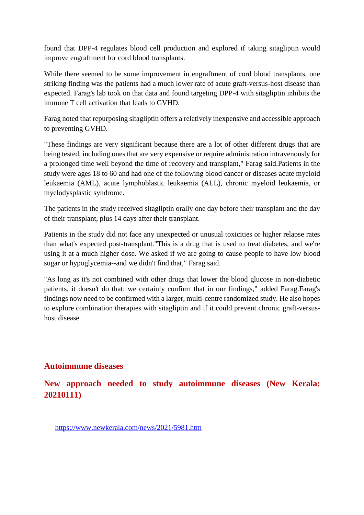found that DPP-4 regulates blood cell production and explored if taking sitagliptin would improve engraftment for cord blood transplants.

While there seemed to be some improvement in engraftment of cord blood transplants, one striking finding was the patients had a much lower rate of acute graft-versus-host disease than expected. Farag's lab took on that data and found targeting DPP-4 with sitagliptin inhibits the immune T cell activation that leads to GVHD.

Farag noted that repurposing sitagliptin offers a relatively inexpensive and accessible approach to preventing GVHD.

"These findings are very significant because there are a lot of other different drugs that are being tested, including ones that are very expensive or require administration intravenously for a prolonged time well beyond the time of recovery and transplant," Farag said.Patients in the study were ages 18 to 60 and had one of the following blood cancer or diseases acute myeloid leukaemia (AML), acute lymphoblastic leukaemia (ALL), chronic myeloid leukaemia, or myelodysplastic syndrome.

The patients in the study received sitagliptin orally one day before their transplant and the day of their transplant, plus 14 days after their transplant.

Patients in the study did not face any unexpected or unusual toxicities or higher relapse rates than what's expected post-transplant."This is a drug that is used to treat diabetes, and we're using it at a much higher dose. We asked if we are going to cause people to have low blood sugar or hypoglycemia--and we didn't find that," Farag said.

"As long as it's not combined with other drugs that lower the blood glucose in non-diabetic patients, it doesn't do that; we certainly confirm that in our findings," added Farag.Farag's findings now need to be confirmed with a larger, multi-centre randomized study. He also hopes to explore combination therapies with sitagliptin and if it could prevent chronic graft-versushost disease.

#### **Autoimmune diseases**

**New approach needed to study autoimmune diseases (New Kerala: 20210111)**

https://www.newkerala.com/news/2021/5981.htm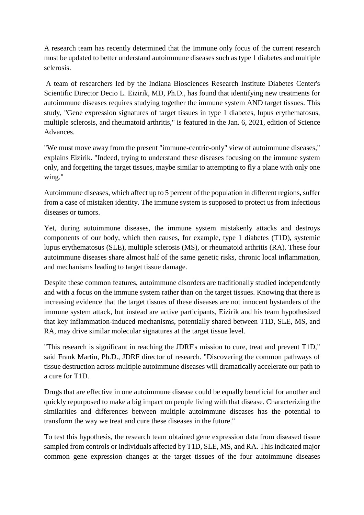A research team has recently determined that the Immune only focus of the current research must be updated to better understand autoimmune diseases such as type 1 diabetes and multiple sclerosis.

A team of researchers led by the Indiana Biosciences Research Institute Diabetes Center's Scientific Director Decio L. Eizirik, MD, Ph.D., has found that identifying new treatments for autoimmune diseases requires studying together the immune system AND target tissues. This study, "Gene expression signatures of target tissues in type 1 diabetes, lupus erythematosus, multiple sclerosis, and rheumatoid arthritis," is featured in the Jan. 6, 2021, edition of Science Advances.

"We must move away from the present "immune-centric-only" view of autoimmune diseases," explains Eizirik. "Indeed, trying to understand these diseases focusing on the immune system only, and forgetting the target tissues, maybe similar to attempting to fly a plane with only one wing."

Autoimmune diseases, which affect up to 5 percent of the population in different regions, suffer from a case of mistaken identity. The immune system is supposed to protect us from infectious diseases or tumors.

Yet, during autoimmune diseases, the immune system mistakenly attacks and destroys components of our body, which then causes, for example, type 1 diabetes (T1D), systemic lupus erythematosus (SLE), multiple sclerosis (MS), or rheumatoid arthritis (RA). These four autoimmune diseases share almost half of the same genetic risks, chronic local inflammation, and mechanisms leading to target tissue damage.

Despite these common features, autoimmune disorders are traditionally studied independently and with a focus on the immune system rather than on the target tissues. Knowing that there is increasing evidence that the target tissues of these diseases are not innocent bystanders of the immune system attack, but instead are active participants, Eizirik and his team hypothesized that key inflammation-induced mechanisms, potentially shared between T1D, SLE, MS, and RA, may drive similar molecular signatures at the target tissue level.

"This research is significant in reaching the JDRF's mission to cure, treat and prevent T1D," said Frank Martin, Ph.D., JDRF director of research. "Discovering the common pathways of tissue destruction across multiple autoimmune diseases will dramatically accelerate our path to a cure for T1D.

Drugs that are effective in one autoimmune disease could be equally beneficial for another and quickly repurposed to make a big impact on people living with that disease. Characterizing the similarities and differences between multiple autoimmune diseases has the potential to transform the way we treat and cure these diseases in the future."

To test this hypothesis, the research team obtained gene expression data from diseased tissue sampled from controls or individuals affected by T1D, SLE, MS, and RA. This indicated major common gene expression changes at the target tissues of the four autoimmune diseases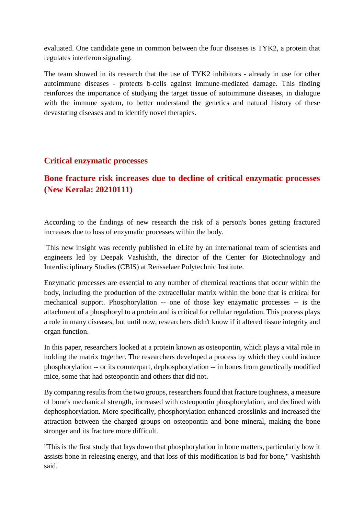evaluated. One candidate gene in common between the four diseases is TYK2, a protein that regulates interferon signaling.

The team showed in its research that the use of TYK2 inhibitors - already in use for other autoimmune diseases - protects b-cells against immune-mediated damage. This finding reinforces the importance of studying the target tissue of autoimmune diseases, in dialogue with the immune system, to better understand the genetics and natural history of these devastating diseases and to identify novel therapies.

#### **Critical enzymatic processes**

## **Bone fracture risk increases due to decline of critical enzymatic processes (New Kerala: 20210111)**

According to the findings of new research the risk of a person's bones getting fractured increases due to loss of enzymatic processes within the body.

This new insight was recently published in eLife by an international team of scientists and engineers led by Deepak Vashishth, the director of the Center for Biotechnology and Interdisciplinary Studies (CBIS) at Rensselaer Polytechnic Institute.

Enzymatic processes are essential to any number of chemical reactions that occur within the body, including the production of the extracellular matrix within the bone that is critical for mechanical support. Phosphorylation -- one of those key enzymatic processes -- is the attachment of a phosphoryl to a protein and is critical for cellular regulation. This process plays a role in many diseases, but until now, researchers didn't know if it altered tissue integrity and organ function.

In this paper, researchers looked at a protein known as osteopontin, which plays a vital role in holding the matrix together. The researchers developed a process by which they could induce phosphorylation -- or its counterpart, dephosphorylation -- in bones from genetically modified mice, some that had osteopontin and others that did not.

By comparing results from the two groups, researchers found that fracture toughness, a measure of bone's mechanical strength, increased with osteopontin phosphorylation, and declined with dephosphorylation. More specifically, phosphorylation enhanced crosslinks and increased the attraction between the charged groups on osteopontin and bone mineral, making the bone stronger and its fracture more difficult.

"This is the first study that lays down that phosphorylation in bone matters, particularly how it assists bone in releasing energy, and that loss of this modification is bad for bone," Vashishth said.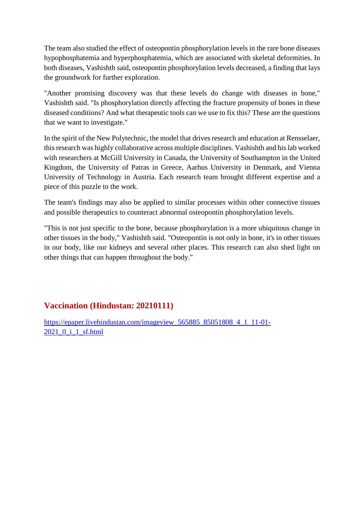The team also studied the effect of osteopontin phosphorylation levels in the rare bone diseases hypophosphatemia and hyperphosphatemia, which are associated with skeletal deformities. In both diseases, Vashishth said, osteopontin phosphorylation levels decreased, a finding that lays the groundwork for further exploration.

"Another promising discovery was that these levels do change with diseases in bone," Vashishth said. "Is phosphorylation directly affecting the fracture propensity of bones in these diseased conditions? And what therapeutic tools can we use to fix this? These are the questions that we want to investigate."

In the spirit of the New Polytechnic, the model that drives research and education at Rensselaer, this research was highly collaborative across multiple disciplines. Vashishth and his lab worked with researchers at McGill University in Canada, the University of Southampton in the United Kingdom, the University of Patras in Greece, Aarhus University in Denmark, and Vienna University of Technology in Austria. Each research team brought different expertise and a piece of this puzzle to the work.

The team's findings may also be applied to similar processes within other connective tissues and possible therapeutics to counteract abnormal osteopontin phosphorylation levels.

"This is not just specific to the bone, because phosphorylation is a more ubiquitous change in other tissues in the body," Vashishth said. "Osteopontin is not only in bone, it's in other tissues in our body, like our kidneys and several other places. This research can also shed light on other things that can happen throughout the body."

## **Vaccination (Hindustan: 20210111)**

https://epaper.livehindustan.com/imageview\_565885\_85051808\_4\_1\_11-01-2021\_0\_i\_1\_sf.html